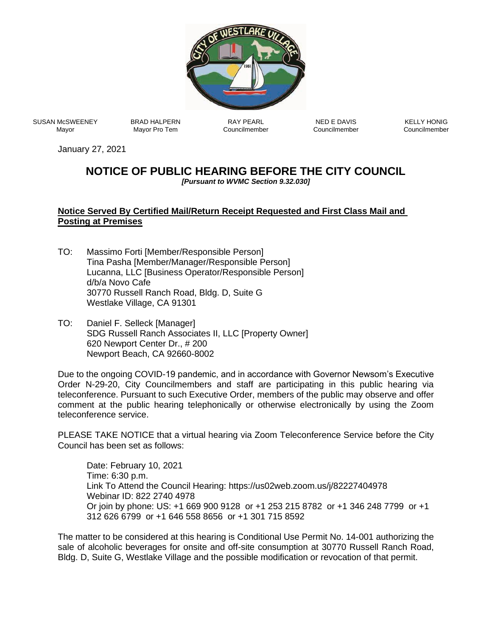

SUSAN McSWEENEY Mayor

BRAD HALPERN Mayor Pro Tem

RAY PEARL Councilmember

NED E DAVIS Councilmember

KELLY HONIG Councilmember

January 27, 2021

## **NOTICE OF PUBLIC HEARING BEFORE THE CITY COUNCIL**

*[Pursuant to WVMC Section 9.32.030]*

## **Notice Served By Certified Mail/Return Receipt Requested and First Class Mail and Posting at Premises**

- TO: Massimo Forti [Member/Responsible Person] Tina Pasha [Member/Manager/Responsible Person] Lucanna, LLC [Business Operator/Responsible Person] d/b/a Novo Cafe 30770 Russell Ranch Road, Bldg. D, Suite G Westlake Village, CA 91301
- TO: Daniel F. Selleck [Manager] SDG Russell Ranch Associates II, LLC [Property Owner] 620 Newport Center Dr., # 200 Newport Beach, CA 92660-8002

Due to the ongoing COVID-19 pandemic, and in accordance with Governor Newsom's Executive Order N-29-20, City Councilmembers and staff are participating in this public hearing via teleconference. Pursuant to such Executive Order, members of the public may observe and offer comment at the public hearing telephonically or otherwise electronically by using the Zoom teleconference service.

PLEASE TAKE NOTICE that a virtual hearing via Zoom Teleconference Service before the City Council has been set as follows:

Date: February 10, 2021 Time: 6:30 p.m. Link To Attend the Council Hearing: https://us02web.zoom.us/j/82227404978 Webinar ID: 822 2740 4978 Or join by phone: US: +1 669 900 9128 or +1 253 215 8782 or +1 346 248 7799 or +1 312 626 6799 or +1 646 558 8656 or +1 301 715 8592

The matter to be considered at this hearing is Conditional Use Permit No. 14-001 authorizing the sale of alcoholic beverages for onsite and off-site consumption at 30770 Russell Ranch Road, Bldg. D, Suite G, Westlake Village and the possible modification or revocation of that permit.